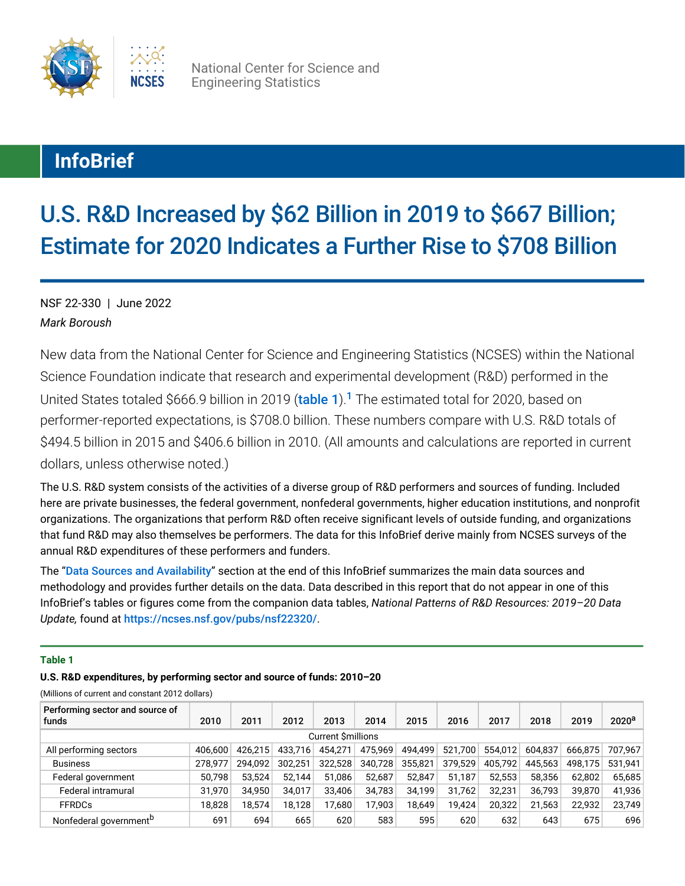

National Center for Science and Engineering Statistics

# **InfoBrief**

# U.S. R&D Increased by \$62 Billion in 2019 to \$667 Billion; Estimate for 2020 Indicates a Further Rise to \$708 Billion

*Mark Boroush* NSF 22-330 | June 2022

<span id="page-0-1"></span>New data from the National Center for Science and Engineering Statistics (NCSES) within the National Science Foundation indicate that research and experimental development (R&D) performed in the United States totaled \$666.9 billion in 2019 ([table 1](#page-0-0)).<sup>[1](#page-9-0)</sup> The estimated total for 2020, based on performer-reported expectations, is \$708.0 billion. These numbers compare with U.S. R&D totals of \$494.5 billion in 2015 and \$406.6 billion in 2010. (All amounts and calculations are reported in current dollars, unless otherwise noted.)

The U.S. R&D system consists of the activities of a diverse group of R&D performers and sources of funding. Included here are private businesses, the federal government, nonfederal governments, higher education institutions, and nonprofit organizations. The organizations that perform R&D often receive significant levels of outside funding, and organizations that fund R&D may also themselves be performers. The data for this InfoBrief derive mainly from NCSES surveys of the annual R&D expenditures of these performers and funders.

The "[Data Sources and Availability](#page-9-1)" section at the end of this InfoBrief summarizes the main data sources and methodology and provides further details on the data. Data described in this report that do not appear in one of this InfoBrief's tables or figures come from the companion data tables, *National Patterns of R&D Resources: 2019–20 Data Update,* found at <https://ncses.nsf.gov/pubs/nsf22320/>.

# <span id="page-0-0"></span>**Table 1**

## **U.S. R&D expenditures, by performing sector and source of funds: 2010–20**

(Millions of current and constant 2012 dollars)

| Performing sector and source of<br>funds | 2010    | 2011    | 2012    | 2013    | 2014    | 2015    | 2016    | 2017    | 2018    | 2019    | 2020 <sup>a</sup> |
|------------------------------------------|---------|---------|---------|---------|---------|---------|---------|---------|---------|---------|-------------------|
| <b>Current Smillions</b>                 |         |         |         |         |         |         |         |         |         |         |                   |
| All performing sectors                   | 406.600 | 426.215 | 433.716 | 454.271 | 475.969 | 494.499 | 521.700 | 554.012 | 604.837 | 666.875 | 707.967           |
| <b>Business</b>                          | 278.977 | 294.092 | 302.251 | 322.528 | 340.728 | 355,821 | 379,529 | 405,792 | 445.563 | 498.175 | 531.941           |
| Federal government                       | 50,798  | 53.524  | 52.144  | 51.086  | 52.687  | 52.847  | 51.187  | 52,553  | 58.356  | 62,802  | 65,685            |
| Federal intramural                       | 31,970  | 34.950  | 34.017  | 33.406  | 34.783  | 34,199  | 31.762  | 32.231  | 36,793  | 39,870  | 41.936            |
| <b>FFRDCs</b>                            | 18,828  | 18,574  | 18.128  | 17.680  | 17,903  | 18.649  | 19.424  | 20,322  | 21,563  | 22.932  | 23,749            |
| Nonfederal government <sup>b</sup>       | 691     | 694     | 665     | 620     | 583     | 595     | 620     | 632     | 643     | 675     | 696               |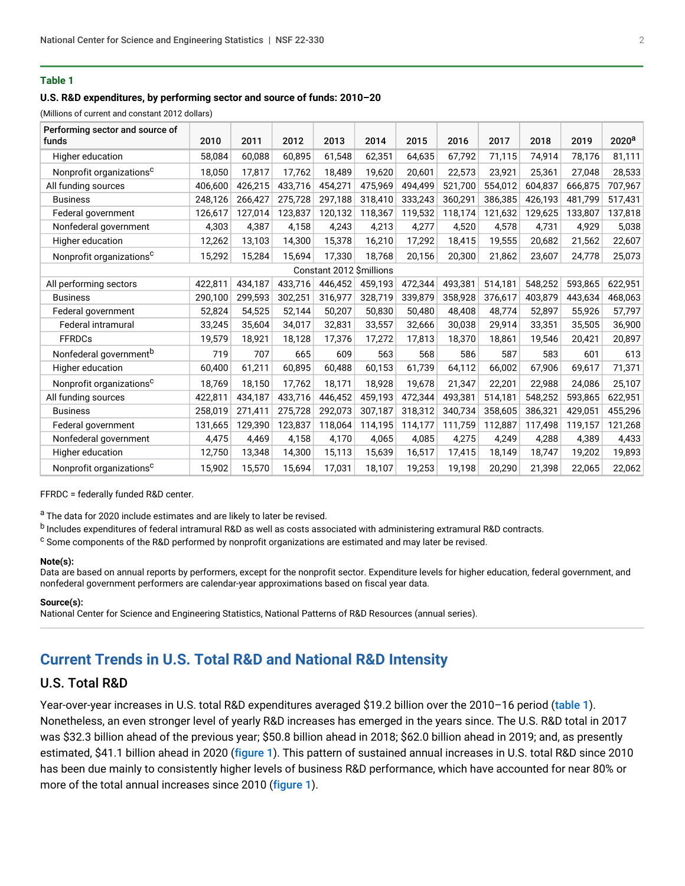## **Table 1**

## **U.S. R&D expenditures, by performing sector and source of funds: 2010–20**

(Millions of current and constant 2012 dollars)

| Performing sector and source of<br>funds | 2010    | 2011    | 2012    | 2013                     | 2014    | 2015    | 2016    | 2017    | 2018    | 2019    | $2020^{\mathrm{a}}$ |
|------------------------------------------|---------|---------|---------|--------------------------|---------|---------|---------|---------|---------|---------|---------------------|
| Higher education                         | 58,084  | 60,088  | 60,895  | 61,548                   | 62,351  | 64,635  | 67,792  | 71,115  | 74,914  | 78,176  | 81,111              |
| Nonprofit organizations <sup>c</sup>     | 18,050  | 17,817  | 17,762  | 18,489                   | 19,620  | 20,601  | 22,573  | 23,921  | 25,361  | 27,048  | 28,533              |
| All funding sources                      | 406,600 | 426,215 | 433,716 | 454,271                  | 475,969 | 494,499 | 521,700 | 554,012 | 604,837 | 666,875 | 707,967             |
| <b>Business</b>                          | 248,126 | 266,427 | 275,728 | 297,188                  | 318.410 | 333,243 | 360,291 | 386,385 | 426,193 | 481.799 | 517,431             |
| Federal government                       | 126,617 | 127,014 | 123,837 | 120,132                  | 118,367 | 119,532 | 118,174 | 121,632 | 129,625 | 133,807 | 137,818             |
| Nonfederal government                    | 4,303   | 4,387   | 4,158   | 4,243                    | 4,213   | 4,277   | 4,520   | 4,578   | 4,731   | 4,929   | 5,038               |
| Higher education                         | 12,262  | 13,103  | 14,300  | 15,378                   | 16,210  | 17,292  | 18,415  | 19,555  | 20,682  | 21,562  | 22,607              |
| Nonprofit organizations <sup>c</sup>     | 15,292  | 15,284  | 15,694  | 17,330                   | 18,768  | 20,156  | 20,300  | 21,862  | 23,607  | 24,778  | 25,073              |
|                                          |         |         |         | Constant 2012 \$millions |         |         |         |         |         |         |                     |
| All performing sectors                   | 422,811 | 434,187 | 433,716 | 446,452                  | 459,193 | 472,344 | 493,381 | 514,181 | 548,252 | 593,865 | 622,951             |
| <b>Business</b>                          | 290,100 | 299,593 | 302,251 | 316,977                  | 328,719 | 339,879 | 358,928 | 376,617 | 403,879 | 443,634 | 468,063             |
| Federal government                       | 52,824  | 54,525  | 52,144  | 50,207                   | 50,830  | 50,480  | 48,408  | 48,774  | 52,897  | 55,926  | 57,797              |
| <b>Federal intramural</b>                | 33,245  | 35,604  | 34,017  | 32,831                   | 33,557  | 32,666  | 30,038  | 29,914  | 33,351  | 35,505  | 36,900              |
| <b>FFRDCs</b>                            | 19,579  | 18,921  | 18,128  | 17,376                   | 17,272  | 17,813  | 18,370  | 18,861  | 19,546  | 20,421  | 20,897              |
| Nonfederal government <sup>b</sup>       | 719     | 707     | 665     | 609                      | 563     | 568     | 586     | 587     | 583     | 601     | 613                 |
| Higher education                         | 60,400  | 61,211  | 60,895  | 60,488                   | 60,153  | 61,739  | 64,112  | 66,002  | 67,906  | 69,617  | 71,371              |
| Nonprofit organizations <sup>c</sup>     | 18,769  | 18,150  | 17,762  | 18,171                   | 18,928  | 19,678  | 21,347  | 22,201  | 22,988  | 24,086  | 25,107              |
| All funding sources                      | 422,811 | 434,187 | 433,716 | 446,452                  | 459,193 | 472,344 | 493,381 | 514,181 | 548,252 | 593,865 | 622,951             |
| <b>Business</b>                          | 258,019 | 271,411 | 275,728 | 292,073                  | 307,187 | 318,312 | 340,734 | 358,605 | 386,321 | 429,051 | 455,296             |
| Federal government                       | 131,665 | 129,390 | 123,837 | 118,064                  | 114,195 | 114,177 | 111,759 | 112,887 | 117,498 | 119,157 | 121,268             |
| Nonfederal government                    | 4,475   | 4,469   | 4,158   | 4,170                    | 4,065   | 4,085   | 4,275   | 4,249   | 4,288   | 4,389   | 4,433               |
| Higher education                         | 12,750  | 13,348  | 14,300  | 15,113                   | 15,639  | 16,517  | 17,415  | 18,149  | 18,747  | 19,202  | 19,893              |
| Nonprofit organizations <sup>c</sup>     | 15,902  | 15,570  | 15,694  | 17,031                   | 18,107  | 19,253  | 19,198  | 20,290  | 21,398  | 22,065  | 22,062              |

FFRDC = federally funded R&D center.

a The data for 2020 include estimates and are likely to later be revised.

b Includes expenditures of federal intramural R&D as well as costs associated with administering extramural R&D contracts.

 $\text{c}$  Some components of the R&D performed by nonprofit organizations are estimated and may later be revised.

#### **Note(s):**

Data are based on annual reports by performers, except for the nonprofit sector. Expenditure levels for higher education, federal government, and nonfederal government performers are calendar-year approximations based on fiscal year data.

#### **Source(s):**

National Center for Science and Engineering Statistics, National Patterns of R&D Resources (annual series).

# **Current Trends in U.S. Total R&D and National R&D Intensity**

# U.S. Total R&D

Year-over-year increases in U.S. total R&D expenditures averaged \$19.2 billion over the 2010–16 period ([table 1](#page-0-0)). Nonetheless, an even stronger level of yearly R&D increases has emerged in the years since. The U.S. R&D total in 2017 was \$32.3 billion ahead of the previous year; \$50.8 billion ahead in 2018; \$62.0 billion ahead in 2019; and, as presently estimated, \$41.1 billion ahead in 2020 ([figure 1](#page-2-0)). This pattern of sustained annual increases in U.S. total R&D since 2010 has been due mainly to consistently higher levels of business R&D performance, which have accounted for near 80% or more of the total annual increases since 2010 ([figure 1](#page-2-0)).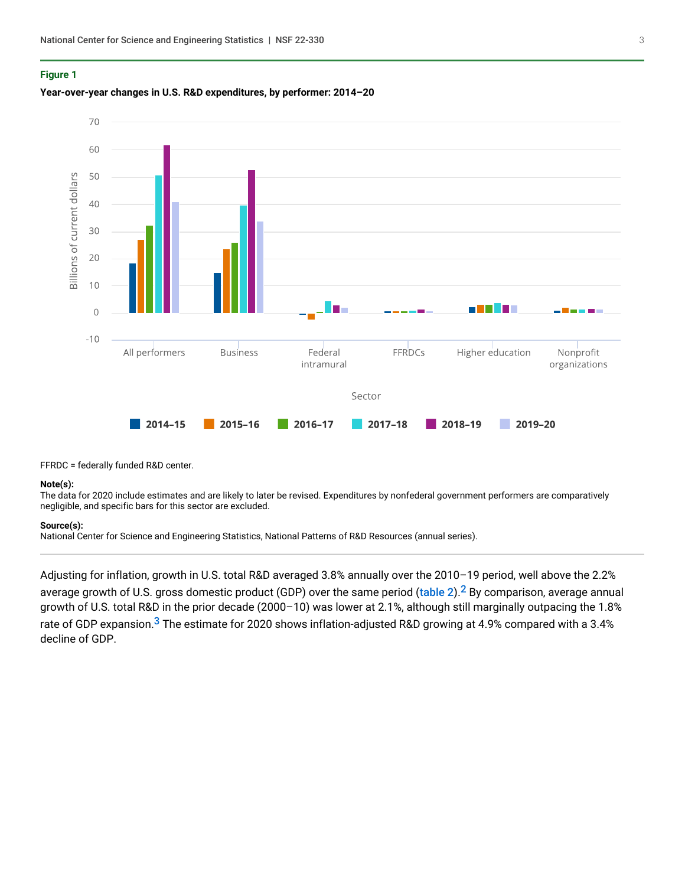### <span id="page-2-0"></span>**Figure 1**

## **Year-over-year changes in U.S. R&D expenditures, by performer: 2014–20**



FFRDC = federally funded R&D center.

#### **Note(s):**

The data for 2020 include estimates and are likely to later be revised. Expenditures by nonfederal government performers are comparatively negligible, and specific bars for this sector are excluded.

#### **Source(s):**

National Center for Science and Engineering Statistics, National Patterns of R&D Resources (annual series).

<span id="page-2-2"></span><span id="page-2-1"></span>Adjusting for inflation, growth in U.S. total R&D averaged 3.8% annually over the 2010–19 period, well above the 2.2% average growth of U.S. gross domestic product (GDP) over the same period ([table 2](#page-3-0)).<sup>[2](#page-9-2)</sup> By comparison, average annual growth of U.S. total R&D in the prior decade (2000–10) was lower at 2.1%, although still marginally outpacing the 1.8% rate of GDP expansion.<sup>[3](#page-10-0)</sup> The estimate for 2020 shows inflation-adjusted R&D growing at 4.9% compared with a 3.4% decline of GDP.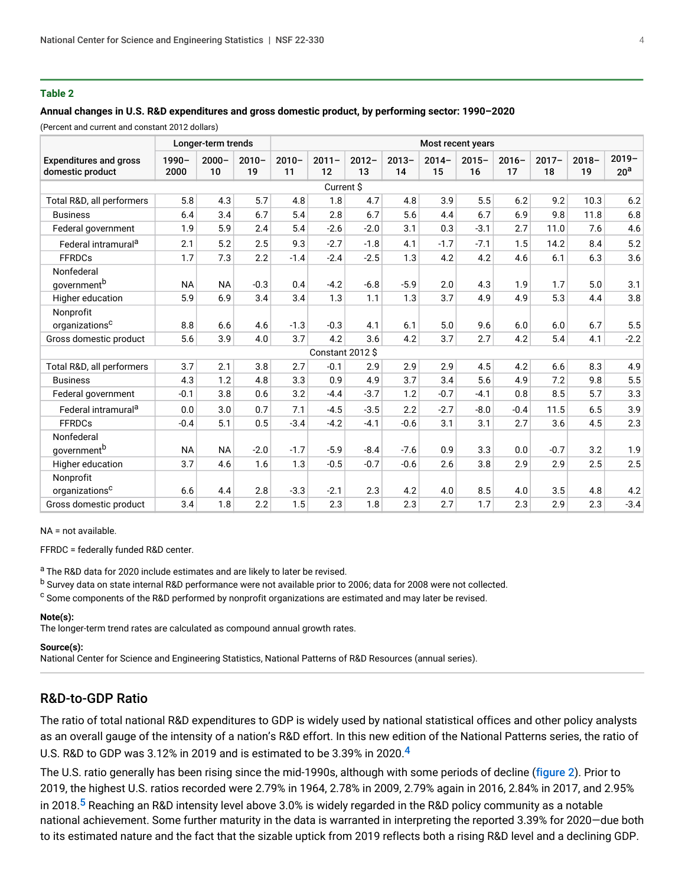## <span id="page-3-0"></span>**Table 2**

#### **Annual changes in U.S. R&D expenditures and gross domestic product, by performing sector: 1990–2020**

(Percent and current and constant 2012 dollars)

|                                                   |                  | Longer-term trends |                | Most recent years |                 |                |                |                |                |                |                |                |                             |
|---------------------------------------------------|------------------|--------------------|----------------|-------------------|-----------------|----------------|----------------|----------------|----------------|----------------|----------------|----------------|-----------------------------|
| <b>Expenditures and gross</b><br>domestic product | $1990 -$<br>2000 | $2000 -$<br>10     | $2010 -$<br>19 | $2010 -$<br>11    | $2011 -$<br>12  | $2012 -$<br>13 | $2013 -$<br>14 | $2014 -$<br>15 | $2015 -$<br>16 | $2016 -$<br>17 | $2017 -$<br>18 | $2018 -$<br>19 | $2019 -$<br>20 <sup>a</sup> |
| Current \$                                        |                  |                    |                |                   |                 |                |                |                |                |                |                |                |                             |
| Total R&D, all performers                         | 5.8              | 4.3                | 5.7            | 4.8               | 1.8             | 4.7            | 4.8            | 3.9            | 5.5            | 6.2            | 9.2            | 10.3           | 6.2                         |
| <b>Business</b>                                   | 6.4              | 3.4                | 6.7            | 5.4               | 2.8             | 6.7            | 5.6            | 4.4            | 6.7            | 6.9            | 9.8            | 11.8           | 6.8                         |
| Federal government                                | 1.9              | 5.9                | 2.4            | 5.4               | $-2.6$          | $-2.0$         | 3.1            | 0.3            | $-3.1$         | 2.7            | 11.0           | 7.6            | 4.6                         |
| Federal intramural <sup>a</sup>                   | 2.1              | 5.2                | 2.5            | 9.3               | $-2.7$          | $-1.8$         | 4.1            | $-1.7$         | $-7.1$         | 1.5            | 14.2           | 8.4            | 5.2                         |
| <b>FFRDCs</b>                                     | 1.7              | 7.3                | 2.2            | $-1.4$            | $-2.4$          | $-2.5$         | 1.3            | 4.2            | 4.2            | 4.6            | 6.1            | 6.3            | 3.6                         |
| Nonfederal<br>government <sup>b</sup>             | <b>NA</b>        | <b>NA</b>          | $-0.3$         | 0.4               | $-4.2$          | $-6.8$         | $-5.9$         | 2.0            | 4.3            | 1.9            | 1.7            | 5.0            | 3.1                         |
| Higher education                                  | 5.9              | 6.9                | 3.4            | 3.4               | 1.3             | 1.1            | 1.3            | 3.7            | 4.9            | 4.9            | 5.3            | 4.4            | 3.8                         |
| Nonprofit                                         |                  |                    |                |                   |                 |                |                |                |                |                |                |                |                             |
| organizations <sup>c</sup>                        | 8.8              | 6.6                | 4.6            | $-1.3$            | $-0.3$          | 4.1            | 6.1            | 5.0            | 9.6            | 6.0            | 6.0            | 6.7            | 5.5                         |
| Gross domestic product                            | 5.6              | 3.9                | 4.0            | 3.7               | 4.2             | 3.6            | 4.2            | 3.7            | 2.7            | 4.2            | 5.4            | 4.1            | $-2.2$                      |
|                                                   |                  |                    |                |                   | Constant 2012\$ |                |                |                |                |                |                |                |                             |
| Total R&D, all performers                         | 3.7              | 2.1                | 3.8            | 2.7               | $-0.1$          | 2.9            | 2.9            | 2.9            | 4.5            | 4.2            | 6.6            | 8.3            | 4.9                         |
| <b>Business</b>                                   | 4.3              | 1.2                | 4.8            | 3.3               | 0.9             | 4.9            | 3.7            | 3.4            | 5.6            | 4.9            | 7.2            | 9.8            | 5.5                         |
| Federal government                                | $-0.1$           | 3.8                | 0.6            | 3.2               | $-4.4$          | $-3.7$         | 1.2            | $-0.7$         | $-4.1$         | 0.8            | 8.5            | 5.7            | 3.3                         |
| Federal intramural <sup>a</sup>                   | 0.0              | 3.0                | 0.7            | 7.1               | $-4.5$          | $-3.5$         | 2.2            | $-2.7$         | $-8.0$         | $-0.4$         | 11.5           | 6.5            | 3.9                         |
| <b>FFRDCs</b>                                     | $-0.4$           | 5.1                | 0.5            | $-3.4$            | $-4.2$          | $-4.1$         | $-0.6$         | 3.1            | 3.1            | 2.7            | 3.6            | 4.5            | 2.3                         |
| Nonfederal<br>government <sup>b</sup>             | <b>NA</b>        | <b>NA</b>          | $-2.0$         | $-1.7$            | $-5.9$          | $-8.4$         | $-7.6$         | 0.9            | 3.3            | 0.0            | $-0.7$         | 3.2            | 1.9                         |
| Higher education                                  | 3.7              | 4.6                | 1.6            | 1.3               | $-0.5$          | $-0.7$         | $-0.6$         | 2.6            | 3.8            | 2.9            | 2.9            | 2.5            | 2.5                         |
| Nonprofit                                         |                  |                    |                |                   |                 |                |                |                |                |                |                |                |                             |
| organizations <sup>c</sup>                        | 6.6              | 4.4                | 2.8            | $-3.3$            | $-2.1$          | 2.3            | 4.2            | 4.0            | 8.5            | 4.0            | 3.5            | 4.8            | 4.2                         |
| Gross domestic product                            | 3.4              | 1.8                | 2.2            | 1.5               | 2.3             | 1.8            | 2.3            | 2.7            | 1.7            | 2.3            | 2.9            | 2.3            | $-3.4$                      |

NA = not available.

FFRDC = federally funded R&D center.

a The R&D data for 2020 include estimates and are likely to later be revised.

<sup>b</sup> Survey data on state internal R&D performance were not available prior to 2006; data for 2008 were not collected.

 $\text{c}$  Some components of the R&D performed by nonprofit organizations are estimated and may later be revised.

#### **Note(s):**

The longer-term trend rates are calculated as compound annual growth rates.

#### **Source(s):**

National Center for Science and Engineering Statistics, National Patterns of R&D Resources (annual series).

# R&D-to-GDP Ratio

The ratio of total national R&D expenditures to GDP is widely used by national statistical offices and other policy analysts as an overall gauge of the intensity of a nation's R&D effort. In this new edition of the National Patterns series, the ratio of U.S. R&D to GDP was 3.12% in 2019 and is estimated to be 3.39% in 2020.[4](#page-10-1)

<span id="page-3-2"></span><span id="page-3-1"></span>The U.S. ratio generally has been rising since the mid-1990s, although with some periods of decline ([figure 2](#page-4-0)). Prior to 2019, the highest U.S. ratios recorded were 2.79% in 1964, 2.78% in 2009, 2.79% again in 2016, 2.84% in 2017, and 2.95% in 2018.<sup>[5](#page-10-2)</sup> Reaching an R&D intensity level above 3.0% is widely regarded in the R&D policy community as a notable national achievement. Some further maturity in the data is warranted in interpreting the reported 3.39% for 2020—due both to its estimated nature and the fact that the sizable uptick from 2019 reflects both a rising R&D level and a declining GDP.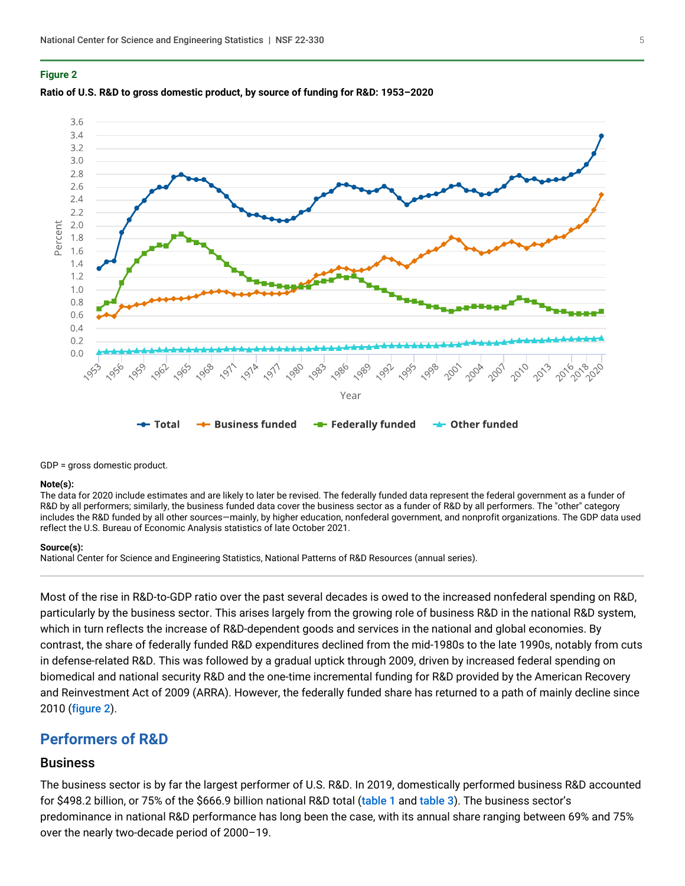#### <span id="page-4-0"></span>**Figure 2**





GDP = gross domestic product.

#### **Note(s):**

The data for 2020 include estimates and are likely to later be revised. The federally funded data represent the federal government as a funder of R&D by all performers; similarly, the business funded data cover the business sector as a funder of R&D by all performers. The "other" category includes the R&D funded by all other sources-mainly, by higher education, nonfederal government, and nonprofit organizations. The GDP data used reflect the U.S. Bureau of Economic Analysis statistics of late October 2021.

#### **Source(s):**

National Center for Science and Engineering Statistics, National Patterns of R&D Resources (annual series).

Most of the rise in R&D-to-GDP ratio over the past several decades is owed to the increased nonfederal spending on R&D, particularly by the business sector. This arises largely from the growing role of business R&D in the national R&D system, which in turn reflects the increase of R&D-dependent goods and services in the national and global economies. By contrast, the share of federally funded R&D expenditures declined from the mid-1980s to the late 1990s, notably from cuts in defense-related R&D. This was followed by a gradual uptick through 2009, driven by increased federal spending on biomedical and national security R&D and the one-time incremental funding for R&D provided by the American Recovery and Reinvestment Act of 2009 (ARRA). However, the federally funded share has returned to a path of mainly decline since 2010 ([figure 2](#page-4-0)).

# **Performers of R&D**

# Business

The business sector is by far the largest performer of U.S. R&D. In 2019, domestically performed business R&D accounted for \$498.2 billion, or 75% of the \$666.9 billion national R&D total ([table 1](#page-0-0) and [table 3](#page-5-0)). The business sector's predominance in national R&D performance has long been the case, with its annual share ranging between 69% and 75% over the nearly two-decade period of 2000–19.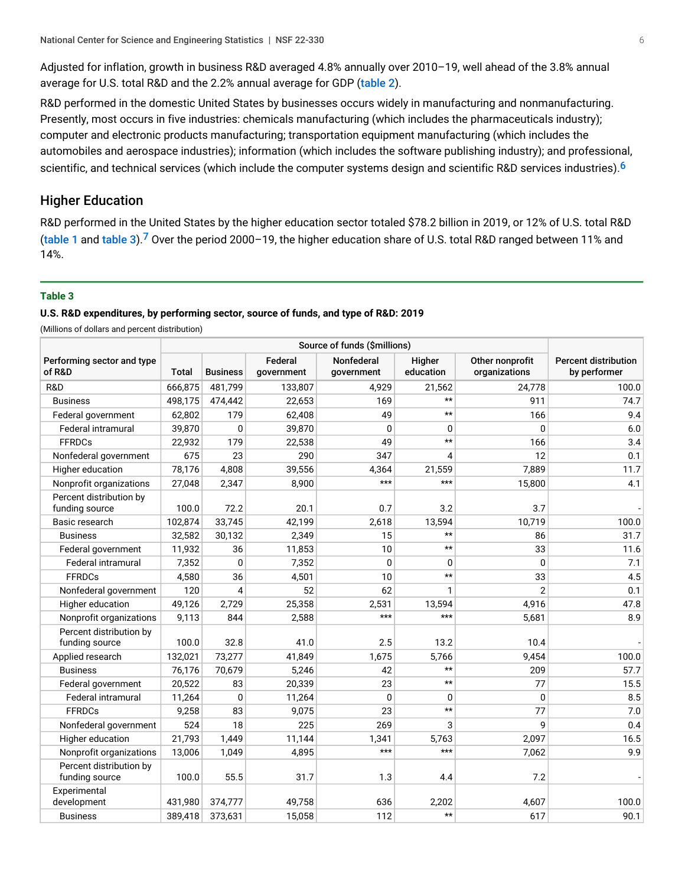Adjusted for inflation, growth in business R&D averaged 4.8% annually over 2010–19, well ahead of the 3.8% annual average for U.S. total R&D and the 2.2% annual average for GDP ([table 2](#page-3-0)).

R&D performed in the domestic United States by businesses occurs widely in manufacturing and nonmanufacturing. Presently, most occurs in five industries: chemicals manufacturing (which includes the pharmaceuticals industry); computer and electronic products manufacturing; transportation equipment manufacturing (which includes the automobiles and aerospace industries); information (which includes the software publishing industry); and professional, scientific, and technical services (which include the computer systems design and scientific R&D services industries).<sup>[6](#page-10-3)</sup>

# <span id="page-5-1"></span>Higher Education

<span id="page-5-2"></span>R&D performed in the United States by the higher education sector totaled \$78.2 billion in 2019, or 12% of U.S. total R&D ([table 1](#page-0-0) and [table 3](#page-5-0)).<sup>[7](#page-10-4)</sup> Over the period 2000-19, the higher education share of U.S. total R&D ranged between 11% and 14%.

## <span id="page-5-0"></span>**Table 3**

## **U.S. R&D expenditures, by performing sector, source of funds, and type of R&D: 2019**

(Millions of dollars and percent distribution)

| Performing sector and type<br>of R&D      | <b>Total</b> | <b>Business</b> | Federal<br>government | Nonfederal<br>government | Higher<br>education | Other nonprofit<br>organizations | <b>Percent distribution</b><br>by performer |
|-------------------------------------------|--------------|-----------------|-----------------------|--------------------------|---------------------|----------------------------------|---------------------------------------------|
| R&D                                       | 666,875      | 481,799         | 133,807               | 4,929                    | 21,562              | 24,778                           | 100.0                                       |
| <b>Business</b>                           | 498,175      | 474,442         | 22,653                | 169                      | $\star\star$        | 911                              | 74.7                                        |
| Federal government                        | 62,802       | 179             | 62,408                | 49                       | $\star\star$        | 166                              | 9.4                                         |
| Federal intramural                        | 39,870       | 0               | 39,870                | 0                        | 0                   | 0                                | 6.0                                         |
| <b>FFRDCs</b>                             | 22,932       | 179             | 22,538                | 49                       | $\star\star$        | 166                              | 3.4                                         |
| Nonfederal government                     | 675          | 23              | 290                   | 347                      | 4                   | 12                               | 0.1                                         |
| Higher education                          | 78,176       | 4,808           | 39,556                | 4,364                    | 21,559              | 7,889                            | 11.7                                        |
| Nonprofit organizations                   | 27,048       | 2,347           | 8,900                 | $***$                    | $***$               | 15,800                           | 4.1                                         |
| Percent distribution by<br>funding source | 100.0        | 72.2            | 20.1                  | 0.7                      | 3.2                 | 3.7                              |                                             |
| Basic research                            | 102,874      | 33,745          | 42,199                | 2,618                    | 13,594              | 10,719                           | 100.0                                       |
| <b>Business</b>                           | 32,582       | 30,132          | 2,349                 | 15                       | $\star\star$        | 86                               | 31.7                                        |
| Federal government                        | 11,932       | 36              | 11,853                | 10                       | $\star\star$        | 33                               | 11.6                                        |
| Federal intramural                        | 7,352        | 0               | 7,352                 | 0                        | 0                   | 0                                | 7.1                                         |
| <b>FFRDCs</b>                             | 4,580        | 36              | 4,501                 | 10                       | $\star\star$        | 33                               | 4.5                                         |
| Nonfederal government                     | 120          | $\overline{4}$  | 52                    | 62                       | $\mathbf{1}$        | $\overline{2}$                   | 0.1                                         |
| Higher education                          | 49,126       | 2,729           | 25,358                | 2,531                    | 13,594              | 4,916                            | 47.8                                        |
| Nonprofit organizations                   | 9,113        | 844             | 2,588                 | $***$                    | $***$               | 5,681                            | 8.9                                         |
| Percent distribution by<br>funding source | 100.0        | 32.8            | 41.0                  | 2.5                      | 13.2                | 10.4                             |                                             |
| Applied research                          | 132,021      | 73,277          | 41,849                | 1,675                    | 5,766               | 9,454                            | 100.0                                       |
| <b>Business</b>                           | 76,176       | 70,679          | 5,246                 | 42                       | $\star\star$        | 209                              | 57.7                                        |
| Federal government                        | 20,522       | 83              | 20,339                | 23                       | $\star\star$        | 77                               | 15.5                                        |
| <b>Federal intramural</b>                 | 11,264       | $\mathbf{0}$    | 11,264                | $\Omega$                 | 0                   | 0                                | 8.5                                         |
| <b>FFRDCs</b>                             | 9,258        | 83              | 9,075                 | 23                       | $\star\star$        | 77                               | 7.0                                         |
| Nonfederal government                     | 524          | 18              | 225                   | 269                      | 3                   | 9                                | 0.4                                         |
| Higher education                          | 21,793       | 1,449           | 11,144                | 1,341                    | 5,763               | 2,097                            | 16.5                                        |
| Nonprofit organizations                   | 13,006       | 1.049           | 4,895                 | $***$                    | $***$               | 7,062                            | 9.9                                         |
| Percent distribution by<br>funding source | 100.0        | 55.5            | 31.7                  | 1.3                      | 4.4                 | 7.2                              |                                             |
| Experimental<br>development               | 431,980      | 374,777         | 49,758                | 636                      | 2,202               | 4,607                            | 100.0                                       |
| <b>Business</b>                           | 389,418      | 373,631         | 15,058                | 112                      | $\star\star$        | 617                              | 90.1                                        |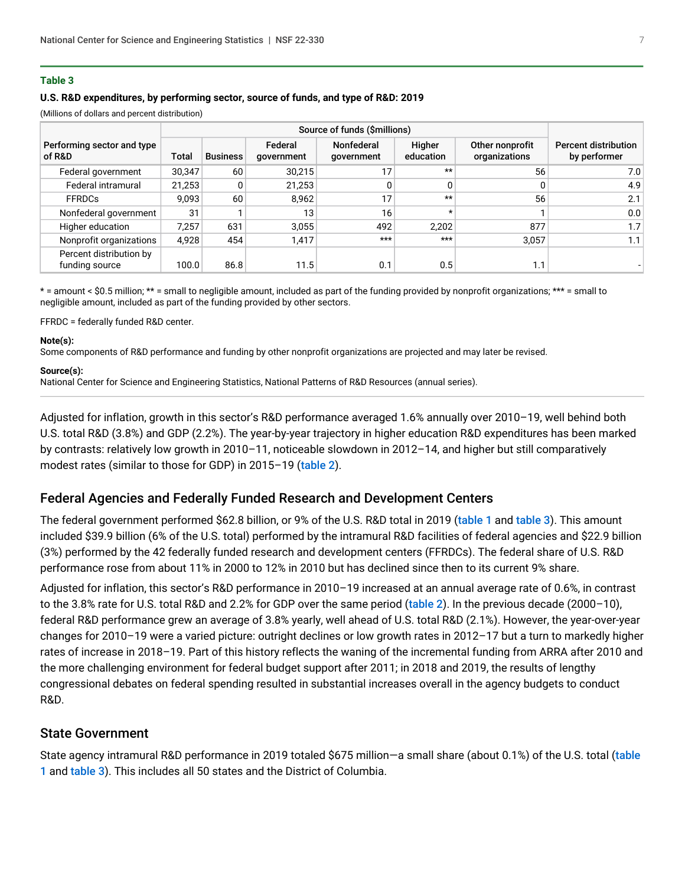## **Table 3**

## **U.S. R&D expenditures, by performing sector, source of funds, and type of R&D: 2019**

(Millions of dollars and percent distribution)

| Performing sector and type<br>of R&D      | Total  | <b>Business</b> | Federal<br>government | Nonfederal<br>government | Higher<br>education | Other nonprofit<br>organizations | <b>Percent distribution</b><br>by performer |
|-------------------------------------------|--------|-----------------|-----------------------|--------------------------|---------------------|----------------------------------|---------------------------------------------|
| Federal government                        | 30,347 | 60              | 30,215                |                          | $**$                | 56                               | 7.0                                         |
| Federal intramural                        | 21,253 | 0               | 21,253                |                          |                     |                                  | 4.9                                         |
| <b>FFRDCs</b>                             | 9.093  | 60              | 8.962                 |                          | $**$                | 56                               | 2.1                                         |
| Nonfederal government                     | 31     |                 | 13                    | 16                       | $\star$             |                                  | 0.0                                         |
| Higher education                          | 7.257  | 631             | 3,055                 | 492                      | 2.202               | 877                              | 1.7                                         |
| Nonprofit organizations                   | 4,928  | 454             | 1,417                 | $***$                    | $***$               | 3,057                            | 1.1                                         |
| Percent distribution by<br>funding source | 100.0  | 86.8            | 11.5                  | 0.1                      | 0.5                 | 1.1                              |                                             |

\* = amount < \$0.5 million; \*\* = small to negligible amount, included as part of the funding provided by nonprofit organizations; \*\*\* = small to negligible amount, included as part of the funding provided by other sectors.

FFRDC = federally funded R&D center.

#### **Note(s):**

Some components of R&D performance and funding by other nonprofit organizations are projected and may later be revised.

#### **Source(s):**

National Center for Science and Engineering Statistics, National Patterns of R&D Resources (annual series).

Adjusted for inflation, growth in this sector's R&D performance averaged 1.6% annually over 2010–19, well behind both U.S. total R&D (3.8%) and GDP (2.2%). The year-by-year trajectory in higher education R&D expenditures has been marked by contrasts: relatively low growth in 2010–11, noticeable slowdown in 2012–14, and higher but still comparatively modest rates (similar to those for GDP) in 2015–19 ([table 2](#page-3-0)).

# Federal Agencies and Federally Funded Research and Development Centers

The federal government performed \$62.8 billion, or 9% of the U.S. R&D total in 2019 ([table 1](#page-0-0) and [table 3](#page-5-0)). This amount included \$39.9 billion (6% of the U.S. total) performed by the intramural R&D facilities of federal agencies and \$22.9 billion (3%) performed by the 42 federally funded research and development centers (FFRDCs). The federal share of U.S. R&D performance rose from about 11% in 2000 to 12% in 2010 but has declined since then to its current 9% share.

Adjusted for inflation, this sector's R&D performance in 2010–19 increased at an annual average rate of 0.6%, in contrast to the 3.8% rate for U.S. total R&D and 2.2% for GDP over the same period ([table 2](#page-3-0)). In the previous decade (2000-10), federal R&D performance grew an average of 3.8% yearly, well ahead of U.S. total R&D (2.1%). However, the year-over-year changes for 2010–19 were a varied picture: outright declines or low growth rates in 2012–17 but a turn to markedly higher rates of increase in 2018–19. Part of this history reflects the waning of the incremental funding from ARRA after 2010 and the more challenging environment for federal budget support after 2011; in 2018 and 2019, the results of lengthy congressional debates on federal spending resulted in substantial increases overall in the agency budgets to conduct R&D.

## State Government

State agency intramural R&D performance in 2019 totaled \$675 million—a small share (about 0.1%) of the U.S. total (table [1](#page-0-0) and [table 3](#page-5-0)). This includes all 50 states and the District of Columbia.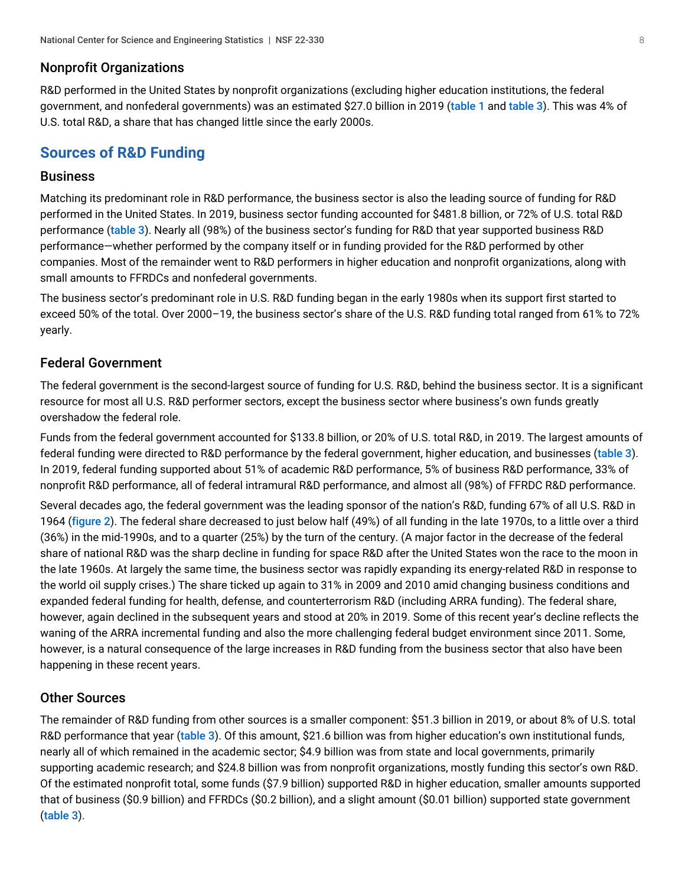# Nonprofit Organizations

R&D performed in the United States by nonprofit organizations (excluding higher education institutions, the federal government, and nonfederal governments) was an estimated \$27.0 billion in 2019 ([table 1](#page-0-0) and [table 3](#page-5-0)). This was 4% of U.S. total R&D, a share that has changed little since the early 2000s.

# **Sources of R&D Funding**

# **Business**

Matching its predominant role in R&D performance, the business sector is also the leading source of funding for R&D performed in the United States. In 2019, business sector funding accounted for \$481.8 billion, or 72% of U.S. total R&D performance ([table 3](#page-5-0)). Nearly all (98%) of the business sector's funding for R&D that year supported business R&D performance—whether performed by the company itself or in funding provided for the R&D performed by other companies. Most of the remainder went to R&D performers in higher education and nonprofit organizations, along with small amounts to FFRDCs and nonfederal governments.

The business sector's predominant role in U.S. R&D funding began in the early 1980s when its support first started to exceed 50% of the total. Over 2000–19, the business sector's share of the U.S. R&D funding total ranged from 61% to 72% yearly.

# Federal Government

The federal government is the second-largest source of funding for U.S. R&D, behind the business sector. It is a significant resource for most all U.S. R&D performer sectors, except the business sector where business's own funds greatly overshadow the federal role.

Funds from the federal government accounted for \$133.8 billion, or 20% of U.S. total R&D, in 2019. The largest amounts of federal funding were directed to R&D performance by the federal government, higher education, and businesses ([table 3](#page-5-0)). In 2019, federal funding supported about 51% of academic R&D performance, 5% of business R&D performance, 33% of nonprofit R&D performance, all of federal intramural R&D performance, and almost all (98%) of FFRDC R&D performance.

Several decades ago, the federal government was the leading sponsor of the nation's R&D, funding 67% of all U.S. R&D in 1964 ([figure 2](#page-4-0)). The federal share decreased to just below half (49%) of all funding in the late 1970s, to a little over a third (36%) in the mid-1990s, and to a quarter (25%) by the turn of the century. (A major factor in the decrease of the federal share of national R&D was the sharp decline in funding for space R&D after the United States won the race to the moon in the late 1960s. At largely the same time, the business sector was rapidly expanding its energy-related R&D in response to the world oil supply crises.) The share ticked up again to 31% in 2009 and 2010 amid changing business conditions and expanded federal funding for health, defense, and counterterrorism R&D (including ARRA funding). The federal share, however, again declined in the subsequent years and stood at 20% in 2019. Some of this recent year's decline reflects the waning of the ARRA incremental funding and also the more challenging federal budget environment since 2011. Some, however, is a natural consequence of the large increases in R&D funding from the business sector that also have been happening in these recent years.

# Other Sources

The remainder of R&D funding from other sources is a smaller component: \$51.3 billion in 2019, or about 8% of U.S. total R&D performance that year ([table 3](#page-5-0)). Of this amount, \$21.6 billion was from higher education's own institutional funds, nearly all of which remained in the academic sector; \$4.9 billion was from state and local governments, primarily supporting academic research; and \$24.8 billion was from nonprofit organizations, mostly funding this sector's own R&D. Of the estimated nonprofit total, some funds (\$7.9 billion) supported R&D in higher education, smaller amounts supported that of business (\$0.9 billion) and FFRDCs (\$0.2 billion), and a slight amount (\$0.01 billion) supported state government ([table 3](#page-5-0)).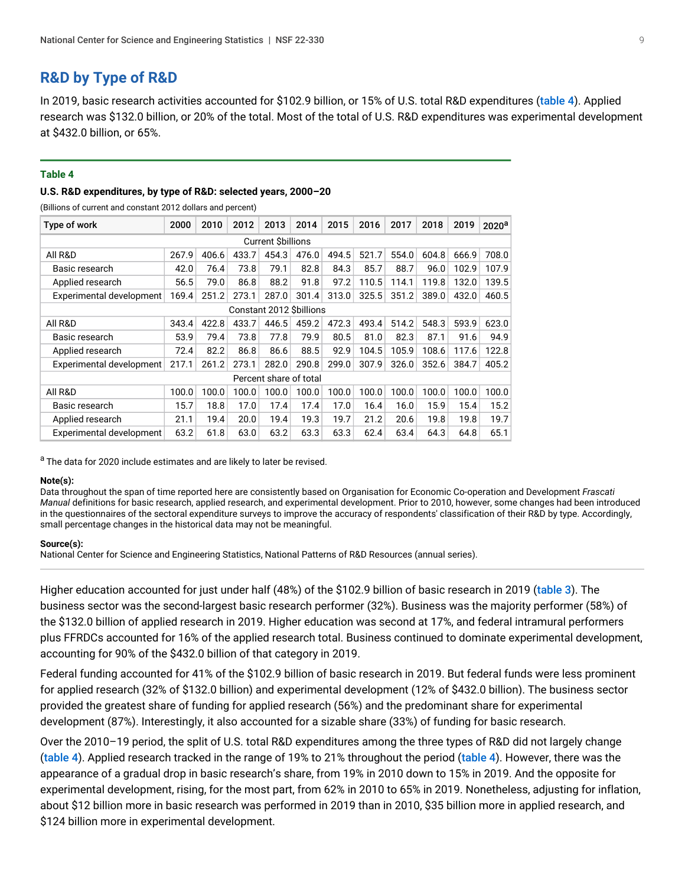# **R&D by Type of R&D**

In 2019, basic research activities accounted for \$102.9 billion, or 15% of U.S. total R&D expenditures ([table 4](#page-8-0)). Applied research was \$132.0 billion, or 20% of the total. Most of the total of U.S. R&D expenditures was experimental development at \$432.0 billion, or 65%.

#### <span id="page-8-0"></span>**Table 4**

## **U.S. R&D expenditures, by type of R&D: selected years, 2000–20**

(Billions of current and constant 2012 dollars and percent)

| Type of work             | 2000                   | 2010  | 2012  | 2013  | 2014  | 2015  | 2016  | 2017  | 2018  | 2019  | 2020 <sup>a</sup> |  |
|--------------------------|------------------------|-------|-------|-------|-------|-------|-------|-------|-------|-------|-------------------|--|
| <b>Current Sbillions</b> |                        |       |       |       |       |       |       |       |       |       |                   |  |
| All R&D                  | 267.9                  | 406.6 | 433.7 | 454.3 | 476.0 | 494.5 | 521.7 | 554.0 | 604.8 | 666.9 | 708.0             |  |
| Basic research           | 42.0                   | 76.4  | 73.8  | 79.1  | 82.8  | 84.3  | 85.7  | 88.7  | 96.0  | 102.9 | 107.9             |  |
| Applied research         | 56.5                   | 79.0  | 86.8  | 88.2  | 91.8  | 97.2  | 110.5 | 114.1 | 119.8 | 132.0 | 139.5             |  |
| Experimental development | 169.4                  | 251.2 | 273.1 | 287.0 | 301.4 | 313.0 | 325.5 | 351.2 | 389.0 | 432.0 | 460.5             |  |
| Constant 2012 Sbillions  |                        |       |       |       |       |       |       |       |       |       |                   |  |
| All R&D                  | 343.4                  | 422.8 | 433.7 | 446.5 | 459.2 | 472.3 | 493.4 | 514.2 | 548.3 | 593.9 | 623.0             |  |
| Basic research           | 53.9                   | 79.4  | 73.8  | 77.8  | 79.9  | 80.5  | 81.0  | 82.3  | 87.1  | 91.6  | 94.9              |  |
| Applied research         | 72.4                   | 82.2  | 86.8  | 86.6  | 88.5  | 92.9  | 104.5 | 105.9 | 108.6 | 117.6 | 122.8             |  |
| Experimental development | 217.1                  | 261.2 | 273.1 | 282.0 | 290.8 | 299.0 | 307.9 | 326.0 | 352.6 | 384.7 | 405.2             |  |
|                          | Percent share of total |       |       |       |       |       |       |       |       |       |                   |  |
| All R&D                  | 100.0                  | 100.0 | 100.0 | 100.0 | 100.0 | 100.0 | 100.0 | 100.0 | 100.0 | 100.0 | 100.0             |  |
| Basic research           | 15.7                   | 18.8  | 17.0  | 17.4  | 17.4  | 17.0  | 16.4  | 16.0  | 15.9  | 15.4  | 15.2              |  |
| Applied research         | 21.1                   | 19.4  | 20.0  | 19.4  | 19.3  | 19.7  | 21.2  | 20.6  | 19.8  | 19.8  | 19.7              |  |
| Experimental development | 63.2                   | 61.8  | 63.0  | 63.2  | 63.3  | 63.3  | 62.4  | 63.4  | 64.3  | 64.8  | 65.1              |  |

a The data for 2020 include estimates and are likely to later be revised.

#### **Note(s):**

Data throughout the span of time reported here are consistently based on Organisation for Economic Co-operation and Development *Frascati Manual* definitions for basic research, applied research, and experimental development. Prior to 2010, however, some changes had been introduced in the questionnaires of the sectoral expenditure surveys to improve the accuracy of respondents' classification of their R&D by type. Accordingly, small percentage changes in the historical data may not be meaningful.

#### **Source(s):**

National Center for Science and Engineering Statistics, National Patterns of R&D Resources (annual series).

Higher education accounted for just under half (48%) of the \$102.9 billion of basic research in 2019 ([table 3](#page-5-0)). The business sector was the second-largest basic research performer (32%). Business was the majority performer (58%) of the \$132.0 billion of applied research in 2019. Higher education was second at 17%, and federal intramural performers plus FFRDCs accounted for 16% of the applied research total. Business continued to dominate experimental development, accounting for 90% of the \$432.0 billion of that category in 2019.

Federal funding accounted for 41% of the \$102.9 billion of basic research in 2019. But federal funds were less prominent for applied research (32% of \$132.0 billion) and experimental development (12% of \$432.0 billion). The business sector provided the greatest share of funding for applied research (56%) and the predominant share for experimental development (87%). Interestingly, it also accounted for a sizable share (33%) of funding for basic research.

Over the 2010–19 period, the split of U.S. total R&D expenditures among the three types of R&D did not largely change ([table 4](#page-8-0)). Applied research tracked in the range of 19% to 21% throughout the period ([table 4](#page-8-0)). However, there was the appearance of a gradual drop in basic research's share, from 19% in 2010 down to 15% in 2019. And the opposite for experimental development, rising, for the most part, from 62% in 2010 to 65% in 2019. Nonetheless, adjusting for inflation, about \$12 billion more in basic research was performed in 2019 than in 2010, \$35 billion more in applied research, and \$124 billion more in experimental development.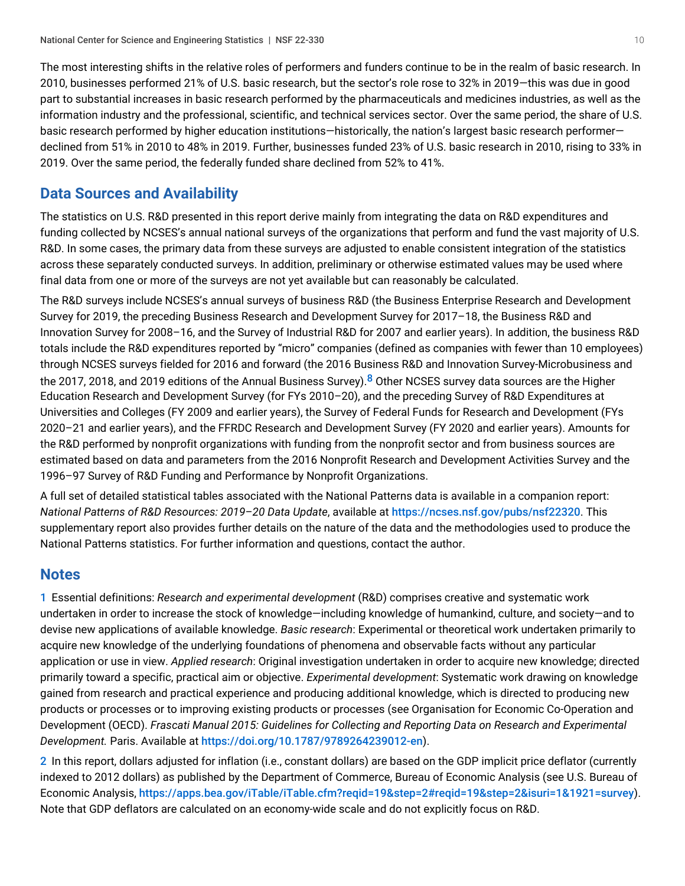The most interesting shifts in the relative roles of performers and funders continue to be in the realm of basic research. In 2010, businesses performed 21% of U.S. basic research, but the sector's role rose to 32% in 2019—this was due in good part to substantial increases in basic research performed by the pharmaceuticals and medicines industries, as well as the information industry and the professional, scientific, and technical services sector. Over the same period, the share of U.S. basic research performed by higher education institutions—historically, the nation's largest basic research performer declined from 51% in 2010 to 48% in 2019. Further, businesses funded 23% of U.S. basic research in 2010, rising to 33% in 2019. Over the same period, the federally funded share declined from 52% to 41%.

# <span id="page-9-1"></span>**Data Sources and Availability**

The statistics on U.S. R&D presented in this report derive mainly from integrating the data on R&D expenditures and funding collected by NCSES's annual national surveys of the organizations that perform and fund the vast majority of U.S. R&D. In some cases, the primary data from these surveys are adjusted to enable consistent integration of the statistics across these separately conducted surveys. In addition, preliminary or otherwise estimated values may be used where final data from one or more of the surveys are not yet available but can reasonably be calculated.

<span id="page-9-3"></span>The R&D surveys include NCSES's annual surveys of business R&D (the Business Enterprise Research and Development Survey for 2019, the preceding Business Research and Development Survey for 2017–18, the Business R&D and Innovation Survey for 2008–16, and the Survey of Industrial R&D for 2007 and earlier years). In addition, the business R&D totals include the R&D expenditures reported by "micro" companies (defined as companies with fewer than 10 employees) through NCSES surveys fielded for 2016 and forward (the 2016 Business R&D and Innovation Survey-Microbusiness and the 2017, 201[8](#page-10-5), and 2019 editions of the Annual Business Survey).<sup>8</sup> Other NCSES survey data sources are the Higher Education Research and Development Survey (for FYs 2010–20), and the preceding Survey of R&D Expenditures at Universities and Colleges (FY 2009 and earlier years), the Survey of Federal Funds for Research and Development (FYs 2020–21 and earlier years), and the FFRDC Research and Development Survey (FY 2020 and earlier years). Amounts for the R&D performed by nonprofit organizations with funding from the nonprofit sector and from business sources are estimated based on data and parameters from the 2016 Nonprofit Research and Development Activities Survey and the 1996–97 Survey of R&D Funding and Performance by Nonprofit Organizations.

A full set of detailed statistical tables associated with the National Patterns data is available in a companion report: *National Patterns of R&D Resources: 2019–20 Data Update*, available at <https://ncses.nsf.gov/pubs/nsf22320>. This supplementary report also provides further details on the nature of the data and the methodologies used to produce the National Patterns statistics. For further information and questions, contact the author.

# **Notes**

<span id="page-9-0"></span>[1](#page-0-1) Essential definitions: *Research and experimental development* (R&D) comprises creative and systematic work undertaken in order to increase the stock of knowledge—including knowledge of humankind, culture, and society—and to devise new applications of available knowledge. *Basic research*: Experimental or theoretical work undertaken primarily to acquire new knowledge of the underlying foundations of phenomena and observable facts without any particular application or use in view. *Applied research*: Original investigation undertaken in order to acquire new knowledge; directed primarily toward a specific, practical aim or objective. *Experimental development*: Systematic work drawing on knowledge gained from research and practical experience and producing additional knowledge, which is directed to producing new products or processes or to improving existing products or processes (see Organisation for Economic Co-Operation and Development (OECD). *Frascati Manual 2015: Guidelines for Collecting and Reporting Data on Research and Experimental Development.* Paris. Available at [https://doi.org/10.1787/9789264239012-en](https://www.nsf.gov/cgi-bin/goodbye?https://doi.org/10.1787/9789264239012-en)).

<span id="page-9-2"></span>[2](#page-2-1) In this report, dollars adjusted for inflation (i.e., constant dollars) are based on the GDP implicit price deflator (currently indexed to 2012 dollars) as published by the Department of Commerce, Bureau of Economic Analysis (see U.S. Bureau of Economic Analysis, <https://apps.bea.gov/iTable/iTable.cfm?reqid=19&step=2#reqid=19&step=2&isuri=1&1921=survey>). Note that GDP deflators are calculated on an economy-wide scale and do not explicitly focus on R&D.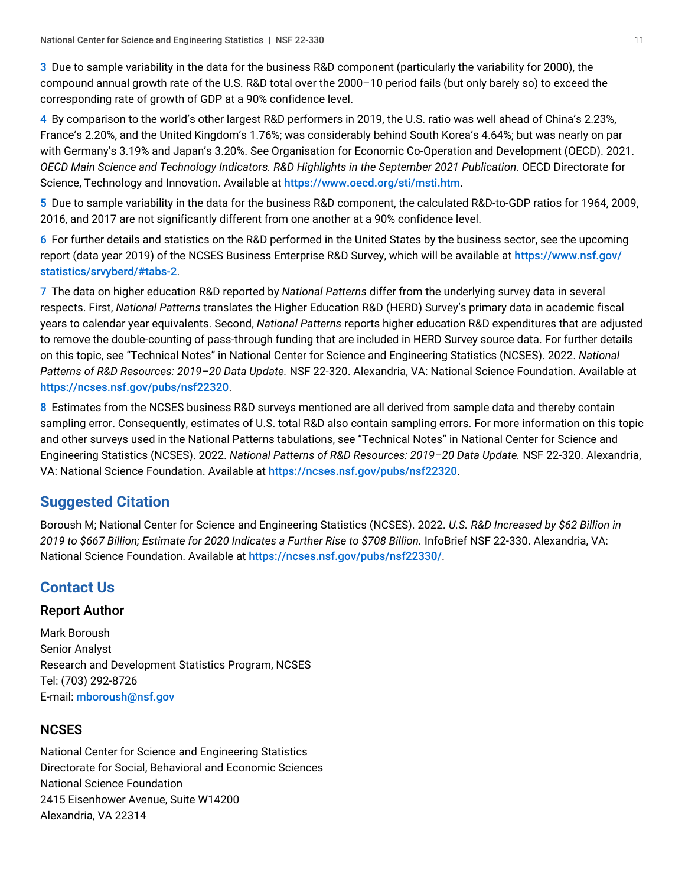<span id="page-10-0"></span>[3](#page-2-2) Due to sample variability in the data for the business R&D component (particularly the variability for 2000), the compound annual growth rate of the U.S. R&D total over the 2000–10 period fails (but only barely so) to exceed the corresponding rate of growth of GDP at a 90% confidence level.

<span id="page-10-1"></span>[4](#page-3-1) By comparison to the world's other largest R&D performers in 2019, the U.S. ratio was well ahead of China's 2.23%, France's 2.20%, and the United Kingdom's 1.76%; was considerably behind South Korea's 4.64%; but was nearly on par with Germany's 3.19% and Japan's 3.20%. See Organisation for Economic Co-Operation and Development (OECD). 2021. *OECD Main Science and Technology Indicators. R&D Highlights in the September 2021 Publication*. OECD Directorate for Science, Technology and Innovation. Available at <https://www.oecd.org/sti/msti.htm>.

<span id="page-10-2"></span>[5](#page-3-2) Due to sample variability in the data for the business R&D component, the calculated R&D-to-GDP ratios for 1964, 2009, 2016, and 2017 are not significantly different from one another at a 90% confidence level.

<span id="page-10-3"></span>[6](#page-5-1) For further details and statistics on the R&D performed in the United States by the business sector, see the upcoming report (data year 2019) of the NCSES Business Enterprise R&D Survey, which will be available at [https://www.nsf.gov/](https://www.nsf.gov/statistics/srvyberd/#tabs-2) [statistics/srvyberd/#tabs-2](https://www.nsf.gov/statistics/srvyberd/#tabs-2).

<span id="page-10-4"></span>[7](#page-5-2) The data on higher education R&D reported by *National Patterns* differ from the underlying survey data in several respects. First, *National Patterns* translates the Higher Education R&D (HERD) Survey's primary data in academic fiscal years to calendar year equivalents. Second, *National Patterns* reports higher education R&D expenditures that are adjusted to remove the double-counting of pass-through funding that are included in HERD Survey source data. For further details on this topic, see "Technical Notes" in National Center for Science and Engineering Statistics (NCSES). 2022. *National Patterns of R&D Resources: 2019–20 Data Update.* NSF 22-320. Alexandria, VA: National Science Foundation. Available at <https://ncses.nsf.gov/pubs/nsf22320>.

<span id="page-10-5"></span>[8](#page-9-3) Estimates from the NCSES business R&D surveys mentioned are all derived from sample data and thereby contain sampling error. Consequently, estimates of U.S. total R&D also contain sampling errors. For more information on this topic and other surveys used in the National Patterns tabulations, see "Technical Notes" in National Center for Science and Engineering Statistics (NCSES). 2022. *National Patterns of R&D Resources: 2019–20 Data Update.* NSF 22-320. Alexandria, VA: National Science Foundation. Available at <https://ncses.nsf.gov/pubs/nsf22320>.

# **Suggested Citation**

Boroush M; National Center for Science and Engineering Statistics (NCSES). 2022. *U.S. R&D Increased by \$62 Billion in 2019 to \$667 Billion; Estimate for 2020 Indicates a Further Rise to \$708 Billion.* InfoBrief NSF 22-330. Alexandria, VA: National Science Foundation. Available at <https://ncses.nsf.gov/pubs/nsf22330/>.

# **Contact Us**

# Report Author

Mark Boroush Senior Analyst Research and Development Statistics Program, NCSES Tel: (703) 292-8726 E-mail: [mboroush@nsf.gov](mailto:mboroush@nsf.gov)

# **NCSES**

National Center for Science and Engineering Statistics Directorate for Social, Behavioral and Economic Sciences National Science Foundation 2415 Eisenhower Avenue, Suite W14200 Alexandria, VA 22314